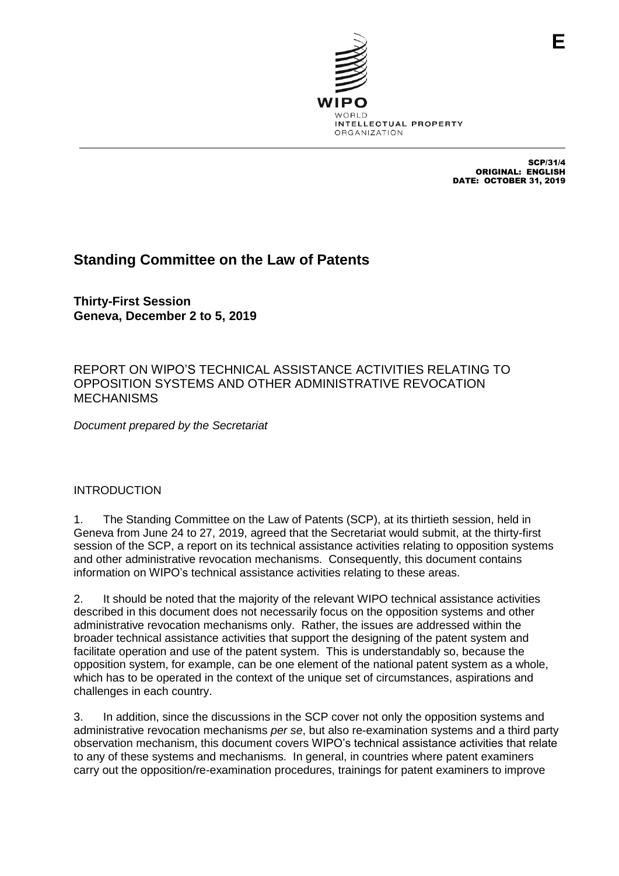

SCP/31/4 ORIGINAL: ENGLISH DATE: OCTOBER 31, 2019

# **Standing Committee on the Law of Patents**

**Thirty-First Session Geneva, December 2 to 5, 2019**

REPORT ON WIPO'S TECHNICAL ASSISTANCE ACTIVITIES RELATING TO OPPOSITION SYSTEMS AND OTHER ADMINISTRATIVE REVOCATION **MECHANISMS** 

*Document prepared by the Secretariat*

## INTRODUCTION

1. The Standing Committee on the Law of Patents (SCP), at its thirtieth session, held in Geneva from June 24 to 27, 2019, agreed that the Secretariat would submit, at the thirty-first session of the SCP, a report on its technical assistance activities relating to opposition systems and other administrative revocation mechanisms. Consequently, this document contains information on WIPO's technical assistance activities relating to these areas.

2. It should be noted that the majority of the relevant WIPO technical assistance activities described in this document does not necessarily focus on the opposition systems and other administrative revocation mechanisms only. Rather, the issues are addressed within the broader technical assistance activities that support the designing of the patent system and facilitate operation and use of the patent system. This is understandably so, because the opposition system, for example, can be one element of the national patent system as a whole, which has to be operated in the context of the unique set of circumstances, aspirations and challenges in each country.

3. In addition, since the discussions in the SCP cover not only the opposition systems and administrative revocation mechanisms *per se*, but also re-examination systems and a third party observation mechanism, this document covers WIPO's technical assistance activities that relate to any of these systems and mechanisms. In general, in countries where patent examiners carry out the opposition/re-examination procedures, trainings for patent examiners to improve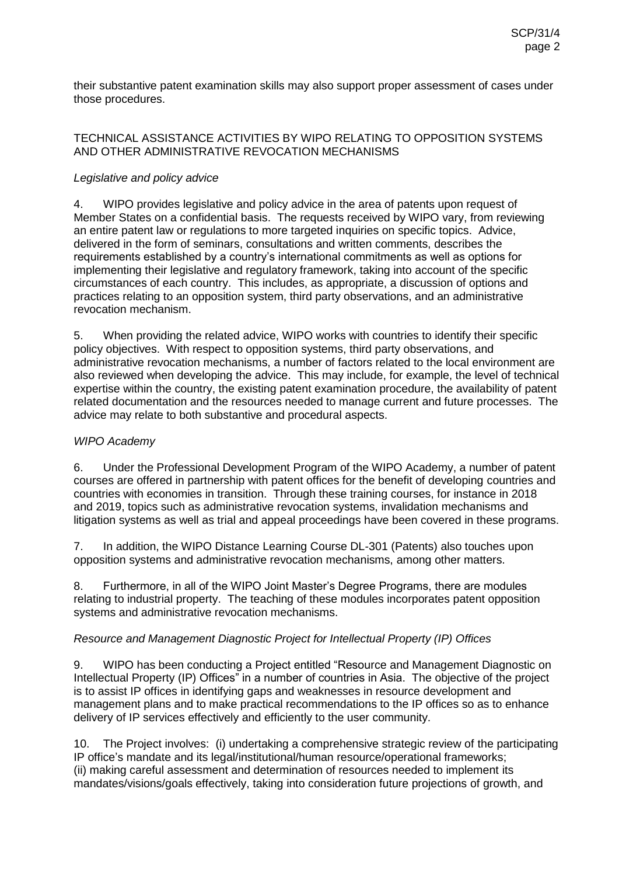their substantive patent examination skills may also support proper assessment of cases under those procedures.

#### TECHNICAL ASSISTANCE ACTIVITIES BY WIPO RELATING TO OPPOSITION SYSTEMS AND OTHER ADMINISTRATIVE REVOCATION MECHANISMS

### *Legislative and policy advice*

4. WIPO provides legislative and policy advice in the area of patents upon request of Member States on a confidential basis. The requests received by WIPO vary, from reviewing an entire patent law or regulations to more targeted inquiries on specific topics. Advice, delivered in the form of seminars, consultations and written comments, describes the requirements established by a country's international commitments as well as options for implementing their legislative and regulatory framework, taking into account of the specific circumstances of each country. This includes, as appropriate, a discussion of options and practices relating to an opposition system, third party observations, and an administrative revocation mechanism.

5. When providing the related advice, WIPO works with countries to identify their specific policy objectives. With respect to opposition systems, third party observations, and administrative revocation mechanisms, a number of factors related to the local environment are also reviewed when developing the advice. This may include, for example, the level of technical expertise within the country, the existing patent examination procedure, the availability of patent related documentation and the resources needed to manage current and future processes. The advice may relate to both substantive and procedural aspects.

#### *WIPO Academy*

6. Under the Professional Development Program of the WIPO Academy, a number of patent courses are offered in partnership with patent offices for the benefit of developing countries and countries with economies in transition. Through these training courses, for instance in 2018 and 2019, topics such as administrative revocation systems, invalidation mechanisms and litigation systems as well as trial and appeal proceedings have been covered in these programs.

7. In addition, the WIPO Distance Learning Course DL-301 (Patents) also touches upon opposition systems and administrative revocation mechanisms, among other matters.

8. Furthermore, in all of the WIPO Joint Master's Degree Programs, there are modules relating to industrial property. The teaching of these modules incorporates patent opposition systems and administrative revocation mechanisms.

## *Resource and Management Diagnostic Project for Intellectual Property (IP) Offices*

9. WIPO has been conducting a Project entitled "Resource and Management Diagnostic on Intellectual Property (IP) Offices" in a number of countries in Asia. The objective of the project is to assist IP offices in identifying gaps and weaknesses in resource development and management plans and to make practical recommendations to the IP offices so as to enhance delivery of IP services effectively and efficiently to the user community.

10. The Project involves: (i) undertaking a comprehensive strategic review of the participating IP office's mandate and its legal/institutional/human resource/operational frameworks; (ii) making careful assessment and determination of resources needed to implement its mandates/visions/goals effectively, taking into consideration future projections of growth, and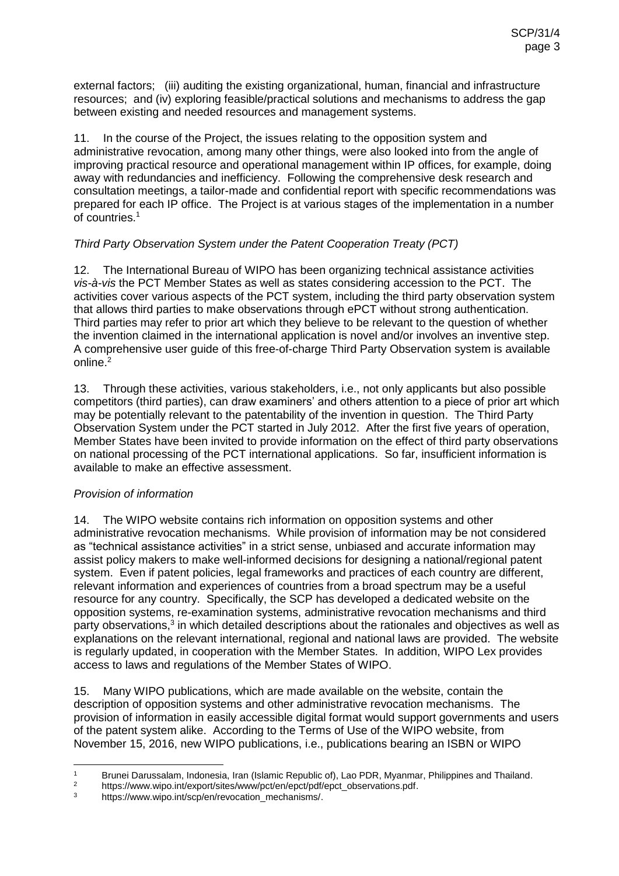external factors; (iii) auditing the existing organizational, human, financial and infrastructure resources; and (iv) exploring feasible/practical solutions and mechanisms to address the gap between existing and needed resources and management systems.

11. In the course of the Project, the issues relating to the opposition system and administrative revocation, among many other things, were also looked into from the angle of improving practical resource and operational management within IP offices, for example, doing away with redundancies and inefficiency. Following the comprehensive desk research and consultation meetings, a tailor-made and confidential report with specific recommendations was prepared for each IP office. The Project is at various stages of the implementation in a number of countries.<sup>1</sup>

## *Third Party Observation System under the Patent Cooperation Treaty (PCT)*

12. The International Bureau of WIPO has been organizing technical assistance activities *vis-à-vis* the PCT Member States as well as states considering accession to the PCT. The activities cover various aspects of the PCT system, including the third party observation system that allows third parties to make observations through ePCT without strong authentication. Third parties may refer to prior art which they believe to be relevant to the question of whether the invention claimed in the international application is novel and/or involves an inventive step. A comprehensive user guide of this free-of-charge Third Party Observation system is available online.<sup>2</sup>

13. Through these activities, various stakeholders, i.e., not only applicants but also possible competitors (third parties), can draw examiners' and others attention to a piece of prior art which may be potentially relevant to the patentability of the invention in question. The Third Party Observation System under the PCT started in July 2012. After the first five years of operation, Member States have been invited to provide information on the effect of third party observations on national processing of the PCT international applications. So far, insufficient information is available to make an effective assessment.

## *Provision of information*

14. The WIPO website contains rich information on opposition systems and other administrative revocation mechanisms. While provision of information may be not considered as "technical assistance activities" in a strict sense, unbiased and accurate information may assist policy makers to make well-informed decisions for designing a national/regional patent system. Even if patent policies, legal frameworks and practices of each country are different, relevant information and experiences of countries from a broad spectrum may be a useful resource for any country. Specifically, the SCP has developed a dedicated website on the opposition systems, re-examination systems, administrative revocation mechanisms and third party observations, $3$  in which detailed descriptions about the rationales and objectives as well as explanations on the relevant international, regional and national laws are provided. The website is regularly updated, in cooperation with the Member States. In addition, WIPO Lex provides access to laws and regulations of the Member States of WIPO.

15. Many WIPO publications, which are made available on the website, contain the description of opposition systems and other administrative revocation mechanisms. The provision of information in easily accessible digital format would support governments and users of the patent system alike. According to the Terms of Use of the WIPO website, from November 15, 2016, new WIPO publications, i.e., publications bearing an ISBN or WIPO

 $\overline{1}$ <sup>1</sup> Brunei Darussalam, Indonesia, Iran (Islamic Republic of), Lao PDR, Myanmar, Philippines and Thailand.

<sup>&</sup>lt;sup>2</sup> https://www.wipo.int/export/sites/www/pct/en/epct/pdf/epct\_observations.pdf.<br><sup>3</sup> https://www.wipo.int/scp/ep/peyocation\_mechanisms/

https://www.wipo.int/scp/en/revocation\_mechanisms/.